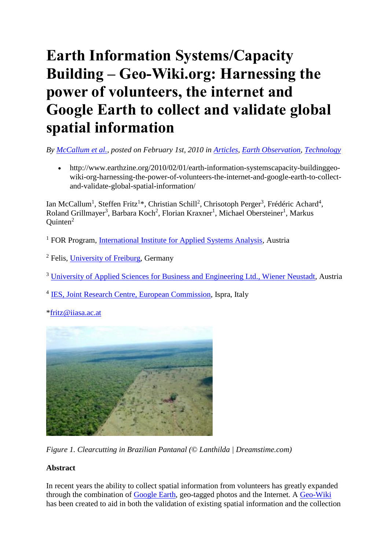# **Earth Information Systems/Capacity Building – Geo-Wiki.org: Harnessing the power of volunteers, the internet and Google Earth to collect and validate global spatial information**

*By [McCallum et al.,](http://www.earthzine.org/author/McCallum%20etal) posted on February 1st, 2010 in [Articles,](http://www.earthzine.org/category/sections/articles/) [Earth Observation,](http://www.earthzine.org/category/earth-observation/) [Technology](http://www.earthzine.org/category/technology/)*

• http://www.earthzine.org/2010/02/01/earth-information-systemscapacity-buildinggeowiki-org-harnessing-the-power-of-volunteers-the-internet-and-google-earth-to-collectand-validate-global-spatial-information/

Ian McCallum<sup>1</sup>, Steffen Fritz<sup>1\*</sup>, Christian Schill<sup>2</sup>, Chrisotoph Perger<sup>3</sup>, Frédéric Achard<sup>4</sup>, Roland Grillmayer<sup>3</sup>, Barbara Koch<sup>2</sup>, Florian Kraxner<sup>1</sup>, Michael Obersteiner<sup>1</sup>, Markus  $Quinten<sup>2</sup>$ 

<sup>1</sup> FOR Program, [International Institute for Applied Systems Analysis,](http://www.iiasa.ac.at/) Austria

- <sup>2</sup> Felis, [University of Freiburg,](http://www.uni-freiburg.de/) Germany
- <sup>3</sup> University [of Applied Sciences for Business and Engineering Ltd., Wiener Neustadt,](http://www.fhwn.ac.at/desktopdefault.aspx?pageid=407&lang=en) Austria
- <sup>4</sup> [IES, Joint Research Centre, European Commission,](http://ies.jrc.ec.europa.eu/) Ispra, Italy

[\\*fritz@iiasa.ac.at](mailto:fritz@iiasa.ac.at)



*Figure 1. Clearcutting in Brazilian Pantanal (© Lanthilda | Dreamstime.com)*

## **Abstract**

In recent years the ability to collect spatial information from volunteers has greatly expanded through the combination of [Google Earth,](http://earth.google.com/) geo-tagged photos and the Internet. A [Geo-Wiki](http://www.geo-wiki.org/login.php) has been created to aid in both the validation of existing spatial information and the collection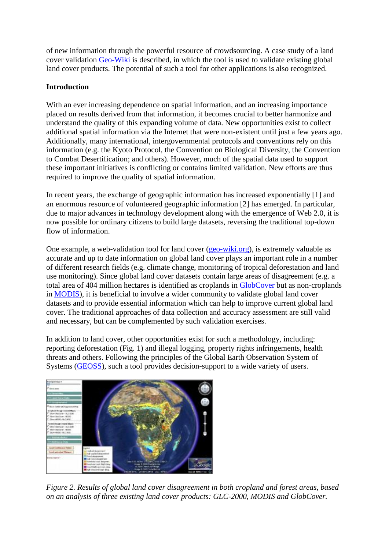of new information through the powerful resource of crowdsourcing. A case study of a land cover validation [Geo-Wiki](http://www.geo-wiki.org/login.php) is described, in which the tool is used to validate existing global land cover products. The potential of such a tool for other applications is also recognized.

## **Introduction**

With an ever increasing dependence on spatial information, and an increasing importance placed on results derived from that information, it becomes crucial to better harmonize and understand the quality of this expanding volume of data. New opportunities exist to collect additional spatial information via the Internet that were non-existent until just a few years ago. Additionally, many international, intergovernmental protocols and conventions rely on this information (e.g. the Kyoto Protocol, the Convention on Biological Diversity, the Convention to Combat Desertification; and others). However, much of the spatial data used to support these important initiatives is conflicting or contains limited validation. New efforts are thus required to improve the quality of spatial information.

In recent years, the exchange of geographic information has increased exponentially [1] and an enormous resource of volunteered geographic information [2] has emerged. In particular, due to major advances in technology development along with the emergence of Web 2.0, it is now possible for ordinary citizens to build large datasets, reversing the traditional top-down flow of information.

One example, a web-validation tool for land cover [\(geo-wiki.org\)](http://www.geo-wiki.org/login.php), is extremely valuable as accurate and up to date information on global land cover plays an important role in a number of different research fields (e.g. climate change, monitoring of tropical deforestation and land use monitoring). Since global land cover datasets contain large areas of disagreement (e.g. a total area of 404 million hectares is identified as croplands in [GlobCover](http://ionia1.esrin.esa.int/) but as non-croplands in [MODIS\)](http://modis-land.gsfc.nasa.gov/landcover.htm), it is beneficial to involve a wider community to validate global land cover datasets and to provide essential information which can help to improve current global land cover. The traditional approaches of data collection and accuracy assessment are still valid and necessary, but can be complemented by such validation exercises.

In addition to land cover, other opportunities exist for such a methodology, including: reporting deforestation (Fig. 1) and illegal logging, property rights infringements, health threats and others. Following the principles of the Global Earth Observation System of Systems [\(GEOSS\)](http://www.earthobservations.org/geoss.shtml), such a tool provides decision-support to a wide variety of users.



*Figure 2. Results of global land cover disagreement in both cropland and forest areas, based on an analysis of three existing land cover products: GLC-2000, MODIS and GlobCover.*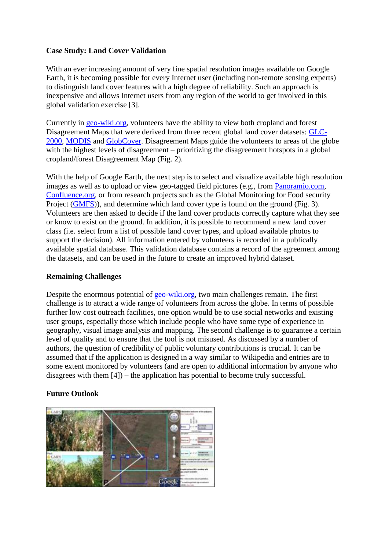## **Case Study: Land Cover Validation**

With an ever increasing amount of very fine spatial resolution images available on Google Earth, it is becoming possible for every Internet user (including non-remote sensing experts) to distinguish land cover features with a high degree of reliability. Such an approach is inexpensive and allows Internet users from any region of the world to get involved in this global validation exercise [3].

Currently in [geo-wiki.org,](http://www.geo-wiki.org/login.php) volunteers have the ability to view both cropland and forest Disagreement Maps that were derived from three recent global land cover datasets: [GLC-](http://bioval.jrc.ec.europa.eu/products/glc2000/glc2000.php)[2000,](http://bioval.jrc.ec.europa.eu/products/glc2000/glc2000.php) [MODIS](http://modis-land.gsfc.nasa.gov/landcover.htm) and [GlobCover.](http://ionia1.esrin.esa.int/) Disagreement Maps guide the volunteers to areas of the globe with the highest levels of disagreement – prioritizing the disagreement hotspots in a global cropland/forest Disagreement Map (Fig. 2).

With the help of Google Earth, the next step is to select and visualize available high resolution images as well as to upload or view geo-tagged field pictures (e.g., from [Panoramio.com,](http://www.panoramio.com/) [Confluence.org,](http://www.confluence.org/) or from research projects such as the Global Monitoring for Food security Project [\(GMFS\)](http://www.gmfs.info/)), and determine which land cover type is found on the ground (Fig. 3). Volunteers are then asked to decide if the land cover products correctly capture what they see or know to exist on the ground. In addition, it is possible to recommend a new land cover class (i.e. select from a list of possible land cover types, and upload available photos to support the decision). All information entered by volunteers is recorded in a publically available spatial database. This validation database contains a record of the agreement among the datasets, and can be used in the future to create an improved hybrid dataset.

### **Remaining Challenges**

Despite the enormous potential of [geo-wiki.org,](http://www.geo-wiki.org/login.php) two main challenges remain. The first challenge is to attract a wide range of volunteers from across the globe. In terms of possible further low cost outreach facilities, one option would be to use social networks and existing user groups, especially those which include people who have some type of experience in geography, visual image analysis and mapping. The second challenge is to guarantee a certain level of quality and to ensure that the tool is not misused. As discussed by a number of authors, the question of credibility of public voluntary contributions is crucial. It can be assumed that if the application is designed in a way similar to Wikipedia and entries are to some extent monitored by volunteers (and are open to additional information by anyone who disagrees with them [4]) – the application has potential to become truly successful.

## **Future Outlook**